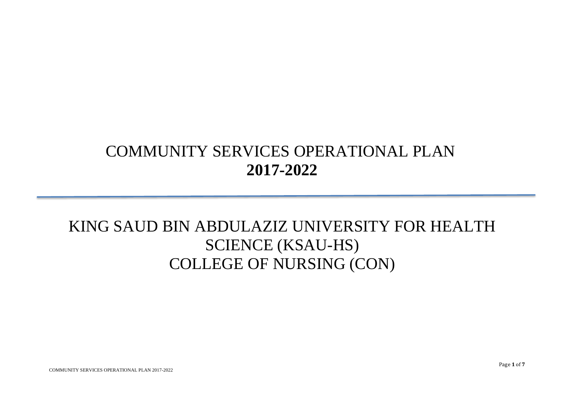## COMMUNITY SERVICES OPERATIONAL PLAN **2017-2022**

## KING SAUD BIN ABDULAZIZ UNIVERSITY FOR HEALTH SCIENCE (KSAU-HS) COLLEGE OF NURSING (CON)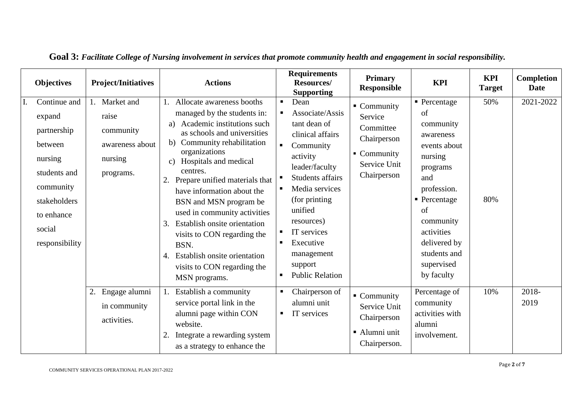| <b>Objectives</b>                                                                                                                                  | <b>Project/Initiatives</b>                                                     | <b>Actions</b>                                                                                                                                                                                                                                                                                                                                                                                                                                                                                                                               | <b>Requirements</b><br>Resources/<br><b>Supporting</b>                                                                                                                                                                                                                                                     | <b>Primary</b><br><b>Responsible</b>                                                                          | <b>KPI</b>                                                                                                                                                                                                                                       | <b>KPI</b><br><b>Target</b> | Completion<br><b>Date</b> |
|----------------------------------------------------------------------------------------------------------------------------------------------------|--------------------------------------------------------------------------------|----------------------------------------------------------------------------------------------------------------------------------------------------------------------------------------------------------------------------------------------------------------------------------------------------------------------------------------------------------------------------------------------------------------------------------------------------------------------------------------------------------------------------------------------|------------------------------------------------------------------------------------------------------------------------------------------------------------------------------------------------------------------------------------------------------------------------------------------------------------|---------------------------------------------------------------------------------------------------------------|--------------------------------------------------------------------------------------------------------------------------------------------------------------------------------------------------------------------------------------------------|-----------------------------|---------------------------|
| Continue and<br>expand<br>partnership<br>between<br>nursing<br>students and<br>community<br>stakeholders<br>to enhance<br>social<br>responsibility | 1. Market and<br>raise<br>community<br>awareness about<br>nursing<br>programs. | Allocate awareness booths<br>managed by the students in:<br>Academic institutions such<br>a)<br>as schools and universities<br>Community rehabilitation<br>b)<br>organizations<br>Hospitals and medical<br>$\mathbf{c}$ )<br>centres.<br>2. Prepare unified materials that<br>have information about the<br>BSN and MSN program be<br>used in community activities<br>Establish onsite orientation<br>3.<br>visits to CON regarding the<br>BSN.<br><b>Establish onsite orientation</b><br>4.<br>visits to CON regarding the<br>MSN programs. | Dean<br>$\blacksquare$<br>Associate/Assis<br>tant dean of<br>clinical affairs<br>$\blacksquare$<br>Community<br>activity<br>leader/faculty<br>Students affairs<br>Media services<br>(for printing)<br>unified<br>resources)<br>IT services<br>Executive<br>management<br>support<br><b>Public Relation</b> | $\blacksquare$ Community<br>Service<br>Committee<br>Chairperson<br>• Community<br>Service Unit<br>Chairperson | $\blacksquare$ Percentage<br>of<br>community<br>awareness<br>events about<br>nursing<br>programs<br>and<br>profession.<br>$\blacksquare$ Percentage<br>of<br>community<br>activities<br>delivered by<br>students and<br>supervised<br>by faculty | 50%<br>80%                  | 2021-2022                 |
| 2.                                                                                                                                                 | Engage alumni<br>in community<br>activities.                                   | Establish a community<br>service portal link in the<br>alumni page within CON<br>website.<br>Integrate a rewarding system<br>2.<br>as a strategy to enhance the                                                                                                                                                                                                                                                                                                                                                                              | Chairperson of<br>alumni unit<br>IT services<br>$\blacksquare$                                                                                                                                                                                                                                             | $\blacksquare$ Community<br>Service Unit<br>Chairperson<br>Alumni unit<br>Chairperson.                        | Percentage of<br>community<br>activities with<br>alumni<br>involvement.                                                                                                                                                                          | 10%                         | 2018-<br>2019             |

**Goal 3:** *Facilitate College of Nursing involvement in services that promote community health and engagement in social responsibility.*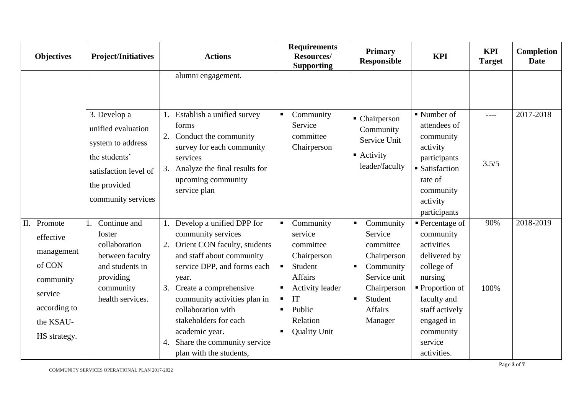| <b>Objectives</b>                                                                                                     | <b>Project/Initiatives</b>                                                                                                  | <b>Actions</b>                                                                                                                                                                                                                                                                                                                                              | <b>Requirements</b><br>Resources/<br><b>Supporting</b>                                                                                                                                                                             | <b>Primary</b><br><b>Responsible</b>                                                                                                                                                       | <b>KPI</b>                                                                                                                                                                                                             | <b>KPI</b><br><b>Target</b> | <b>Completion</b><br><b>Date</b> |
|-----------------------------------------------------------------------------------------------------------------------|-----------------------------------------------------------------------------------------------------------------------------|-------------------------------------------------------------------------------------------------------------------------------------------------------------------------------------------------------------------------------------------------------------------------------------------------------------------------------------------------------------|------------------------------------------------------------------------------------------------------------------------------------------------------------------------------------------------------------------------------------|--------------------------------------------------------------------------------------------------------------------------------------------------------------------------------------------|------------------------------------------------------------------------------------------------------------------------------------------------------------------------------------------------------------------------|-----------------------------|----------------------------------|
|                                                                                                                       | 3. Develop a                                                                                                                | alumni engagement.<br>Establish a unified survey<br>1.                                                                                                                                                                                                                                                                                                      | Community                                                                                                                                                                                                                          |                                                                                                                                                                                            | $\blacksquare$ Number of                                                                                                                                                                                               | $---$                       | 2017-2018                        |
|                                                                                                                       | unified evaluation<br>system to address<br>the students'<br>satisfaction level of<br>the provided<br>community services     | forms<br>Conduct the community<br>2.<br>survey for each community<br>services<br>Analyze the final results for<br>3.<br>upcoming community<br>service plan                                                                                                                                                                                                  | Service<br>committee<br>Chairperson                                                                                                                                                                                                | • Chairperson<br>Community<br>Service Unit<br>$\blacksquare$ Activity<br>leader/faculty                                                                                                    | attendees of<br>community<br>activity<br>participants<br>• Satisfaction<br>rate of<br>community<br>activity<br>participants                                                                                            | 3.5/5                       |                                  |
| II. Promote<br>effective<br>management<br>of CON<br>community<br>service<br>according to<br>the KSAU-<br>HS strategy. | Continue and<br>foster<br>collaboration<br>between faculty<br>and students in<br>providing<br>community<br>health services. | 1. Develop a unified DPP for<br>community services<br>2. Orient CON faculty, students<br>and staff about community<br>service DPP, and forms each<br>year.<br>Create a comprehensive<br>3.<br>community activities plan in<br>collaboration with<br>stakeholders for each<br>academic year.<br>Share the community service<br>4.<br>plan with the students, | Community<br>$\blacksquare$<br>service<br>committee<br>Chairperson<br>Student<br>$\blacksquare$<br><b>Affairs</b><br><b>Activity leader</b><br>IT<br>$\blacksquare$<br>Public<br>$\blacksquare$<br>Relation<br><b>Quality Unit</b> | Community<br>$\blacksquare$<br>Service<br>committee<br>Chairperson<br>Community<br>$\blacksquare$<br>Service unit<br>Chairperson<br>Student<br>$\blacksquare$<br><b>Affairs</b><br>Manager | $\blacksquare$ Percentage of<br>community<br>activities<br>delivered by<br>college of<br>nursing<br>$\blacksquare$ Proportion of<br>faculty and<br>staff actively<br>engaged in<br>community<br>service<br>activities. | 90%<br>100%                 | 2018-2019                        |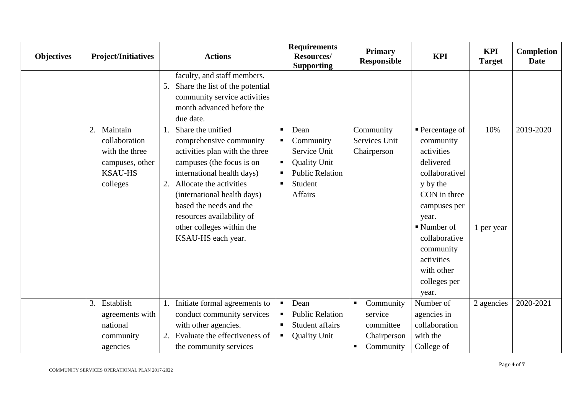| <b>Objectives</b> | <b>Project/Initiatives</b>                                                                      | <b>Actions</b>                                                                                                                                                                                                                                                                                                                                                                                                                                                         | <b>Requirements</b><br>Resources/<br><b>Supporting</b>                                                                                                   | <b>Primary</b><br><b>Responsible</b>                                                 | <b>KPI</b>                                                                                                                                                                                                          | <b>KPI</b><br><b>Target</b> | <b>Completion</b><br><b>Date</b> |
|-------------------|-------------------------------------------------------------------------------------------------|------------------------------------------------------------------------------------------------------------------------------------------------------------------------------------------------------------------------------------------------------------------------------------------------------------------------------------------------------------------------------------------------------------------------------------------------------------------------|----------------------------------------------------------------------------------------------------------------------------------------------------------|--------------------------------------------------------------------------------------|---------------------------------------------------------------------------------------------------------------------------------------------------------------------------------------------------------------------|-----------------------------|----------------------------------|
|                   | 2. Maintain<br>collaboration<br>with the three<br>campuses, other<br><b>KSAU-HS</b><br>colleges | faculty, and staff members.<br>Share the list of the potential<br>5.<br>community service activities<br>month advanced before the<br>due date.<br>Share the unified<br>comprehensive community<br>activities plan with the three<br>campuses (the focus is on<br>international health days)<br>Allocate the activities<br>2.<br>(international health days)<br>based the needs and the<br>resources availability of<br>other colleges within the<br>KSAU-HS each year. | Dean<br>$\blacksquare$<br>Community<br>Service Unit<br><b>Quality Unit</b><br>п<br><b>Public Relation</b><br>Student<br>$\blacksquare$<br><b>Affairs</b> | Community<br>Services Unit<br>Chairperson                                            | $\blacksquare$ Percentage of<br>community<br>activities<br>delivered<br>collaborativel<br>y by the<br>CON in three<br>campuses per<br>year.<br>$\blacksquare$ Number of<br>collaborative<br>community<br>activities | 10%<br>1 per year           | 2019-2020                        |
|                   |                                                                                                 |                                                                                                                                                                                                                                                                                                                                                                                                                                                                        |                                                                                                                                                          |                                                                                      | with other<br>colleges per<br>year.                                                                                                                                                                                 |                             |                                  |
|                   | 3. Establish<br>agreements with<br>national<br>community<br>agencies                            | Initiate formal agreements to<br>1.<br>conduct community services<br>with other agencies.<br>Evaluate the effectiveness of<br>2.<br>the community services                                                                                                                                                                                                                                                                                                             | Dean<br>$\blacksquare$<br><b>Public Relation</b><br>$\blacksquare$<br>Student affairs<br>$\blacksquare$<br><b>Quality Unit</b><br>$\blacksquare$         | Community<br>$\blacksquare$<br>service<br>committee<br>Chairperson<br>Community<br>п | Number of<br>agencies in<br>collaboration<br>with the<br>College of                                                                                                                                                 | 2 agencies                  | 2020-2021                        |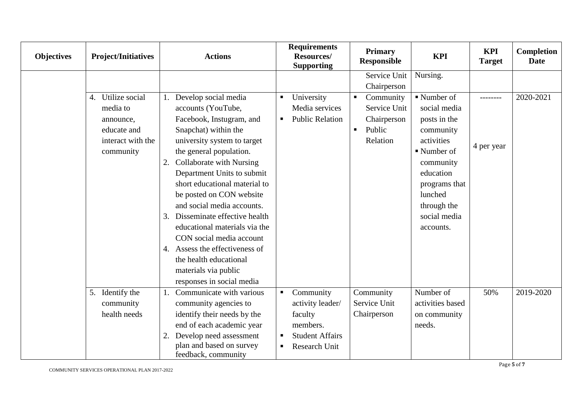| <b>Objectives</b> | <b>Project/Initiatives</b> | <b>Actions</b>                     | <b>Requirements</b><br>Resources/<br><b>Supporting</b> | <b>Primary</b><br><b>Responsible</b> | <b>KPI</b>               | <b>KPI</b><br><b>Target</b> | Completion<br><b>Date</b> |
|-------------------|----------------------------|------------------------------------|--------------------------------------------------------|--------------------------------------|--------------------------|-----------------------------|---------------------------|
|                   |                            |                                    |                                                        | Service Unit                         | Nursing.                 |                             |                           |
|                   |                            |                                    |                                                        | Chairperson                          |                          |                             |                           |
|                   | 4. Utilize social          | Develop social media               | University<br>$\blacksquare$                           | Community<br>$\blacksquare$          | $\blacksquare$ Number of | ---------                   | 2020-2021                 |
|                   | media to                   | accounts (YouTube,                 | Media services                                         | Service Unit                         | social media             |                             |                           |
|                   | announce,                  | Facebook, Instugram, and           | <b>Public Relation</b><br>ш                            | Chairperson                          | posts in the             |                             |                           |
|                   | educate and                | Snapchat) within the               |                                                        | Public<br>$\blacksquare$             | community                |                             |                           |
|                   | interact with the          | university system to target        |                                                        | Relation                             | activities               | 4 per year                  |                           |
|                   | community                  | the general population.            |                                                        |                                      | $\blacksquare$ Number of |                             |                           |
|                   |                            | Collaborate with Nursing<br>2.     |                                                        |                                      | community                |                             |                           |
|                   |                            | Department Units to submit         |                                                        |                                      | education                |                             |                           |
|                   |                            | short educational material to      |                                                        |                                      | programs that            |                             |                           |
|                   |                            | be posted on CON website           |                                                        |                                      | lunched                  |                             |                           |
|                   |                            | and social media accounts.         |                                                        |                                      | through the              |                             |                           |
|                   |                            | Disseminate effective health<br>3. |                                                        |                                      | social media             |                             |                           |
|                   |                            | educational materials via the      |                                                        |                                      | accounts.                |                             |                           |
|                   |                            | CON social media account           |                                                        |                                      |                          |                             |                           |
|                   |                            | 4. Assess the effectiveness of     |                                                        |                                      |                          |                             |                           |
|                   |                            | the health educational             |                                                        |                                      |                          |                             |                           |
|                   |                            | materials via public               |                                                        |                                      |                          |                             |                           |
|                   |                            | responses in social media          |                                                        |                                      |                          |                             |                           |
|                   | 5. Identify the            | Communicate with various<br>1.     | Community                                              | Community                            | Number of                | 50%                         | 2019-2020                 |
|                   | community                  | community agencies to              | activity leader/                                       | Service Unit                         | activities based         |                             |                           |
|                   | health needs               | identify their needs by the        | faculty                                                | Chairperson                          | on community             |                             |                           |
|                   |                            | end of each academic year          | members.                                               |                                      | needs.                   |                             |                           |
|                   |                            | Develop need assessment<br>2.      | <b>Student Affairs</b>                                 |                                      |                          |                             |                           |
|                   |                            | plan and based on survey           | Research Unit<br>п                                     |                                      |                          |                             |                           |
|                   |                            | feedback, community                |                                                        |                                      |                          |                             |                           |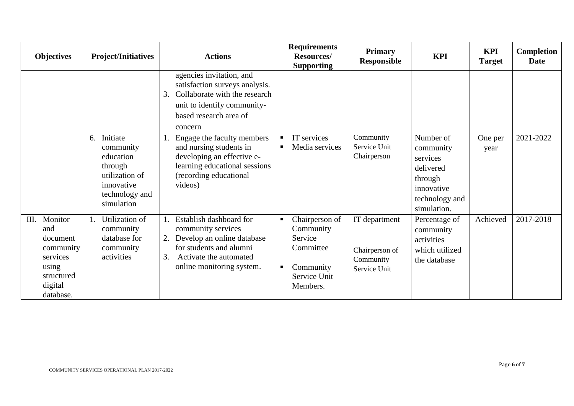| <b>Objectives</b>                                                                                        | <b>Project/Initiatives</b>                                                                                          | <b>Actions</b>                                                                                                                                                            | <b>Requirements</b><br>Resources/<br><b>Supporting</b>                                            | <b>Primary</b><br><b>Responsible</b>                         | <b>KPI</b>                                                                                                | <b>KPI</b><br><b>Target</b> | <b>Completion</b><br><b>Date</b> |
|----------------------------------------------------------------------------------------------------------|---------------------------------------------------------------------------------------------------------------------|---------------------------------------------------------------------------------------------------------------------------------------------------------------------------|---------------------------------------------------------------------------------------------------|--------------------------------------------------------------|-----------------------------------------------------------------------------------------------------------|-----------------------------|----------------------------------|
|                                                                                                          |                                                                                                                     | agencies invitation, and<br>satisfaction surveys analysis.<br>Collaborate with the research<br>3.<br>unit to identify community-<br>based research area of<br>concern     |                                                                                                   |                                                              |                                                                                                           |                             |                                  |
|                                                                                                          | Initiate<br>6.<br>community<br>education<br>through<br>utilization of<br>innovative<br>technology and<br>simulation | Engage the faculty members<br>and nursing students in<br>developing an effective e-<br>learning educational sessions<br>(recording educational<br>videos)                 | IT services<br>$\blacksquare$<br>Media services<br>$\blacksquare$                                 | Community<br>Service Unit<br>Chairperson                     | Number of<br>community<br>services<br>delivered<br>through<br>innovative<br>technology and<br>simulation. | One per<br>year             | 2021-2022                        |
| Monitor<br>Ш.<br>and<br>document<br>community<br>services<br>using<br>structured<br>digital<br>database. | Utilization of<br>community<br>database for<br>community<br>activities                                              | Establish dashboard for<br>community services<br>Develop an online database<br>2.<br>for students and alumni<br>Activate the automated<br>3.<br>online monitoring system. | Chairperson of<br>Community<br>Service<br>Committee<br>Community<br>п<br>Service Unit<br>Members. | IT department<br>Chairperson of<br>Community<br>Service Unit | Percentage of<br>community<br>activities<br>which utilized<br>the database                                | Achieved                    | 2017-2018                        |